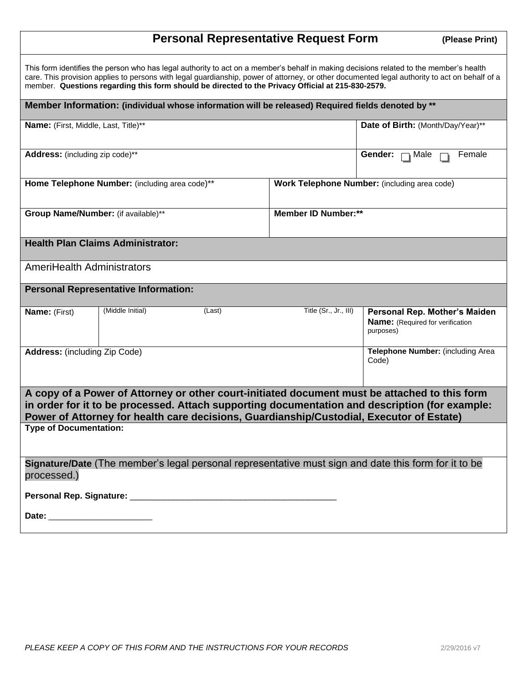## **Personal Representative Request Form (Please Print)**

| This form identifies the person who has legal authority to act on a member's behalf in making decisions related to the member's health<br>care. This provision applies to persons with legal guardianship, power of attorney, or other documented legal authority to act on behalf of a<br>member. Questions regarding this form should be directed to the Privacy Official at 215-830-2579. |                                              |                                                                                       |
|----------------------------------------------------------------------------------------------------------------------------------------------------------------------------------------------------------------------------------------------------------------------------------------------------------------------------------------------------------------------------------------------|----------------------------------------------|---------------------------------------------------------------------------------------|
| Member Information: (individual whose information will be released) Required fields denoted by **                                                                                                                                                                                                                                                                                            |                                              |                                                                                       |
| Name: (First, Middle, Last, Title)**                                                                                                                                                                                                                                                                                                                                                         |                                              | Date of Birth: (Month/Day/Year)**                                                     |
| Address: (including zip code)**                                                                                                                                                                                                                                                                                                                                                              |                                              | Gender: $\Box$ Male<br>Female                                                         |
| Home Telephone Number: (including area code)**                                                                                                                                                                                                                                                                                                                                               | Work Telephone Number: (including area code) |                                                                                       |
| Group Name/Number: (if available)**                                                                                                                                                                                                                                                                                                                                                          | <b>Member ID Number:**</b>                   |                                                                                       |
| <b>Health Plan Claims Administrator:</b>                                                                                                                                                                                                                                                                                                                                                     |                                              |                                                                                       |
| <b>AmeriHealth Administrators</b>                                                                                                                                                                                                                                                                                                                                                            |                                              |                                                                                       |
| <b>Personal Representative Information:</b>                                                                                                                                                                                                                                                                                                                                                  |                                              |                                                                                       |
| (Middle Initial)<br>(Last)<br>Name: (First)                                                                                                                                                                                                                                                                                                                                                  | Title (Sr., Jr., III)                        | Personal Rep. Mother's Maiden<br><b>Name:</b> (Required for verification<br>purposes) |
| <b>Address:</b> (including Zip Code)                                                                                                                                                                                                                                                                                                                                                         |                                              | Telephone Number: (including Area<br>Code)                                            |
| A copy of a Power of Attorney or other court-initiated document must be attached to this form<br>in order for it to be processed. Attach supporting documentation and description (for example:<br>Power of Attorney for health care decisions, Guardianship/Custodial, Executor of Estate)                                                                                                  |                                              |                                                                                       |
| <b>Type of Documentation:</b>                                                                                                                                                                                                                                                                                                                                                                |                                              |                                                                                       |
| Signature/Date (The member's legal personal representative must sign and date this form for it to be<br>processed.)                                                                                                                                                                                                                                                                          |                                              |                                                                                       |
|                                                                                                                                                                                                                                                                                                                                                                                              |                                              |                                                                                       |
| Date: ________________________                                                                                                                                                                                                                                                                                                                                                               |                                              |                                                                                       |